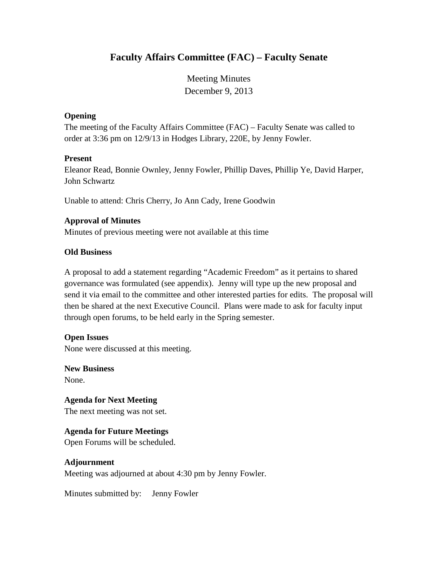# **Faculty Affairs Committee (FAC) – Faculty Senate**

Meeting Minutes December 9, 2013

#### **Opening**

The meeting of the Faculty Affairs Committee (FAC) – Faculty Senate was called to order at 3:36 pm on 12/9/13 in Hodges Library, 220E, by Jenny Fowler.

#### **Present**

Eleanor Read, Bonnie Ownley, Jenny Fowler, Phillip Daves, Phillip Ye, David Harper, John Schwartz

Unable to attend: Chris Cherry, Jo Ann Cady, Irene Goodwin

#### **Approval of Minutes**

Minutes of previous meeting were not available at this time

#### **Old Business**

A proposal to add a statement regarding "Academic Freedom" as it pertains to shared governance was formulated (see appendix). Jenny will type up the new proposal and send it via email to the committee and other interested parties for edits. The proposal will then be shared at the next Executive Council. Plans were made to ask for faculty input through open forums, to be held early in the Spring semester.

#### **Open Issues**

None were discussed at this meeting.

**New Business** None.

**Agenda for Next Meeting** The next meeting was not set.

#### **Agenda for Future Meetings**

Open Forums will be scheduled.

#### **Adjournment**

Meeting was adjourned at about 4:30 pm by Jenny Fowler.

Minutes submitted by: Jenny Fowler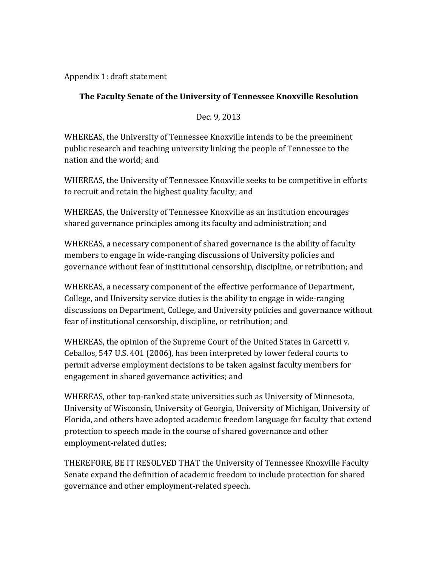Appendix 1: draft statement

## **The Faculty Senate of the University of Tennessee Knoxville Resolution**

Dec. 9, 2013

WHEREAS, the University of Tennessee Knoxville intends to be the preeminent public research and teaching university linking the people of Tennessee to the nation and the world; and

WHEREAS, the University of Tennessee Knoxville seeks to be competitive in efforts to recruit and retain the highest quality faculty; and

WHEREAS, the University of Tennessee Knoxville as an institution encourages shared governance principles among its faculty and administration; and

WHEREAS, a necessary component of shared governance is the ability of faculty members to engage in wide-ranging discussions of University policies and governance without fear of institutional censorship, discipline, or retribution; and

WHEREAS, a necessary component of the effective performance of Department, College, and University service duties is the ability to engage in wide-ranging discussions on Department, College, and University policies and governance without fear of institutional censorship, discipline, or retribution; and

WHEREAS, the opinion of the Supreme Court of the United States in Garcetti v. Ceballos, 547 U.S. 401 (2006), has been interpreted by lower federal courts to permit adverse employment decisions to be taken against faculty members for engagement in shared governance activities; and

WHEREAS, other top-ranked state universities such as University of Minnesota, University of Wisconsin, University of Georgia, University of Michigan, University of Florida, and others have adopted academic freedom language for faculty that extend protection to speech made in the course of shared governance and other employment-related duties;

THEREFORE, BE IT RESOLVED THAT the University of Tennessee Knoxville Faculty Senate expand the definition of academic freedom to include protection for shared governance and other employment-related speech.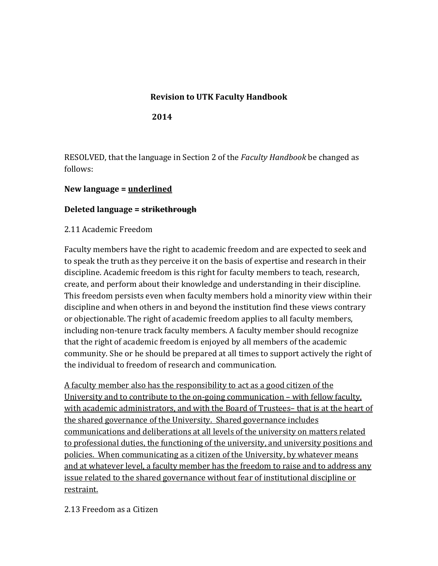### **Revision to UTK Faculty Handbook**

**2014**

RESOLVED, that the language in Section 2 of the *Faculty Handbook* be changed as follows:

### **New language = underlined**

#### **Deleted language = strikethrough**

2.11 Academic Freedom

Faculty members have the right to academic freedom and are expected to seek and to speak the truth as they perceive it on the basis of expertise and research in their discipline. Academic freedom is this right for faculty members to teach, research, create, and perform about their knowledge and understanding in their discipline. This freedom persists even when faculty members hold a minority view within their discipline and when others in and beyond the institution find these views contrary or objectionable. The right of academic freedom applies to all faculty members, including non-tenure track faculty members. A faculty member should recognize that the right of academic freedom is enjoyed by all members of the academic community. She or he should be prepared at all times to support actively the right of the individual to freedom of research and communication.

A faculty member also has the responsibility to act as a good citizen of the University and to contribute to the on-going communication – with fellow faculty, with academic administrators, and with the Board of Trustees– that is at the heart of the shared governance of the University. Shared governance includes communications and deliberations at all levels of the university on matters related to professional duties, the functioning of the university, and university positions and policies. When communicating as a citizen of the University, by whatever means and at whatever level, a faculty member has the freedom to raise and to address any issue related to the shared governance without fear of institutional discipline or restraint.

#### 2.13 Freedom as a Citizen